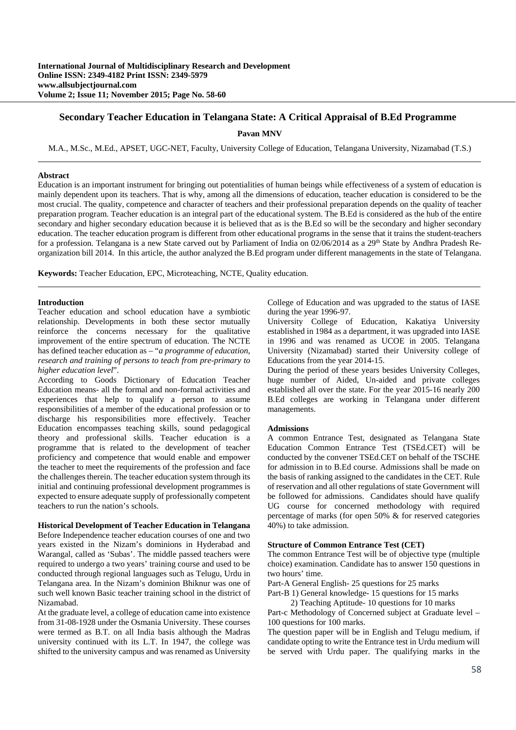# **Secondary Teacher Education in Telangana State: A Critical Appraisal of B.Ed Programme**

**Pavan MNV** 

M.A., M.Sc., M.Ed., APSET, UGC-NET, Faculty, University College of Education, Telangana University, Nizamabad (T.S.)

#### **Abstract**

Education is an important instrument for bringing out potentialities of human beings while effectiveness of a system of education is mainly dependent upon its teachers. That is why, among all the dimensions of education, teacher education is considered to be the most crucial. The quality, competence and character of teachers and their professional preparation depends on the quality of teacher preparation program. Teacher education is an integral part of the educational system. The B.Ed is considered as the hub of the entire secondary and higher secondary education because it is believed that as is the B.Ed so will be the secondary and higher secondary education. The teacher education program is different from other educational programs in the sense that it trains the student-teachers for a profession. Telangana is a new State carved out by Parliament of India on  $02/06/2014$  as a  $29<sup>th</sup>$  State by Andhra Pradesh Reorganization bill 2014. In this article, the author analyzed the B.Ed program under different managements in the state of Telangana.

**Keywords:** Teacher Education, EPC, Microteaching, NCTE, Quality education.

## **Introduction**

Teacher education and school education have a symbiotic relationship. Developments in both these sector mutually reinforce the concerns necessary for the qualitative improvement of the entire spectrum of education. The NCTE has defined teacher education as – "*a programme of education, research and training of persons to teach from pre-primary to higher education level*".

According to Goods Dictionary of Education Teacher Education means- all the formal and non-formal activities and experiences that help to qualify a person to assume responsibilities of a member of the educational profession or to discharge his responsibilities more effectively. Teacher Education encompasses teaching skills, sound pedagogical theory and professional skills. Teacher education is a programme that is related to the development of teacher proficiency and competence that would enable and empower the teacher to meet the requirements of the profession and face the challenges therein. The teacher education system through its initial and continuing professional development programmes is expected to ensure adequate supply of professionally competent teachers to run the nation's schools.

#### **Historical Development of Teacher Education in Telangana**

Before Independence teacher education courses of one and two years existed in the Nizam's dominions in Hyderabad and Warangal, called as 'Subas'. The middle passed teachers were required to undergo a two years' training course and used to be conducted through regional languages such as Telugu, Urdu in Telangana area. In the Nizam's dominion Bhiknur was one of such well known Basic teacher training school in the district of Nizamabad.

At the graduate level, a college of education came into existence from 31-08-1928 under the Osmania University. These courses were termed as B.T. on all India basis although the Madras university continued with its L.T. In 1947, the college was shifted to the university campus and was renamed as University

College of Education and was upgraded to the status of IASE during the year 1996-97.

University College of Education, Kakatiya University established in 1984 as a department, it was upgraded into IASE in 1996 and was renamed as UCOE in 2005. Telangana University (Nizamabad) started their University college of Educations from the year 2014-15.

During the period of these years besides University Colleges, huge number of Aided, Un-aided and private colleges established all over the state. For the year 2015-16 nearly 200 B.Ed colleges are working in Telangana under different managements.

#### **Admissions**

A common Entrance Test, designated as Telangana State Education Common Entrance Test (TSEd.CET) will be conducted by the convener TSEd.CET on behalf of the TSCHE for admission in to B.Ed course. Admissions shall be made on the basis of ranking assigned to the candidates in the CET. Rule of reservation and all other regulations of state Government will be followed for admissions. Candidates should have qualify UG course for concerned methodology with required percentage of marks (for open 50% & for reserved categories 40%) to take admission.

#### **Structure of Common Entrance Test (CET)**

The common Entrance Test will be of objective type (multiple choice) examination. Candidate has to answer 150 questions in two hours' time.

Part-A General English- 25 questions for 25 marks

Part-B 1) General knowledge- 15 questions for 15 marks

2) Teaching Aptitude- 10 questions for 10 marks

Part-c Methodology of Concerned subject at Graduate level – 100 questions for 100 marks.

The question paper will be in English and Telugu medium, if candidate opting to write the Entrance test in Urdu medium will be served with Urdu paper. The qualifying marks in the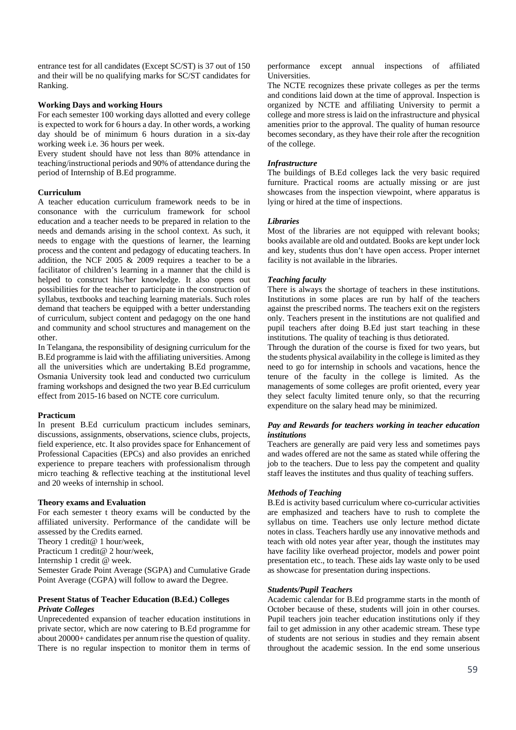entrance test for all candidates (Except SC/ST) is 37 out of 150 and their will be no qualifying marks for SC/ST candidates for Ranking.

## **Working Days and working Hours**

For each semester 100 working days allotted and every college is expected to work for 6 hours a day. In other words, a working day should be of minimum 6 hours duration in a six-day working week i.e. 36 hours per week.

Every student should have not less than 80% attendance in teaching/instructional periods and 90% of attendance during the period of Internship of B.Ed programme.

## **Curriculum**

A teacher education curriculum framework needs to be in consonance with the curriculum framework for school education and a teacher needs to be prepared in relation to the needs and demands arising in the school context. As such, it needs to engage with the questions of learner, the learning process and the content and pedagogy of educating teachers. In addition, the NCF 2005 & 2009 requires a teacher to be a facilitator of children's learning in a manner that the child is helped to construct his/her knowledge. It also opens out possibilities for the teacher to participate in the construction of syllabus, textbooks and teaching learning materials. Such roles demand that teachers be equipped with a better understanding of curriculum, subject content and pedagogy on the one hand and community and school structures and management on the other.

In Telangana, the responsibility of designing curriculum for the B.Ed programme is laid with the affiliating universities. Among all the universities which are undertaking B.Ed programme, Osmania University took lead and conducted two curriculum framing workshops and designed the two year B.Ed curriculum effect from 2015-16 based on NCTE core curriculum.

#### **Practicum**

In present B.Ed curriculum practicum includes seminars, discussions, assignments, observations, science clubs, projects, field experience, etc. It also provides space for Enhancement of Professional Capacities (EPCs) and also provides an enriched experience to prepare teachers with professionalism through micro teaching & reflective teaching at the institutional level and 20 weeks of internship in school.

#### **Theory exams and Evaluation**

For each semester t theory exams will be conducted by the affiliated university. Performance of the candidate will be assessed by the Credits earned.

Theory 1 credit@ 1 hour/week,

Practicum 1 credit@ 2 hour/week,

Internship 1 credit @ week.

Semester Grade Point Average (SGPA) and Cumulative Grade Point Average (CGPA) will follow to award the Degree.

#### **Present Status of Teacher Education (B.Ed.) Colleges**  *Private Colleges*

Unprecedented expansion of teacher education institutions in private sector, which are now catering to B.Ed programme for about 20000+ candidates per annum rise the question of quality. There is no regular inspection to monitor them in terms of performance except annual inspections of affiliated Universities.

The NCTE recognizes these private colleges as per the terms and conditions laid down at the time of approval. Inspection is organized by NCTE and affiliating University to permit a college and more stress is laid on the infrastructure and physical amenities prior to the approval. The quality of human resource becomes secondary, as they have their role after the recognition of the college.

## *Infrastructure*

The buildings of B.Ed colleges lack the very basic required furniture. Practical rooms are actually missing or are just showcases from the inspection viewpoint, where apparatus is lying or hired at the time of inspections.

## *Libraries*

Most of the libraries are not equipped with relevant books; books available are old and outdated. Books are kept under lock and key, students thus don't have open access. Proper internet facility is not available in the libraries.

## *Teaching faculty*

There is always the shortage of teachers in these institutions. Institutions in some places are run by half of the teachers against the prescribed norms. The teachers exit on the registers only. Teachers present in the institutions are not qualified and pupil teachers after doing B.Ed just start teaching in these institutions. The quality of teaching is thus detiorated.

Through the duration of the course is fixed for two years, but the students physical availability in the college is limited as they need to go for internship in schools and vacations, hence the tenure of the faculty in the college is limited. As the managements of some colleges are profit oriented, every year they select faculty limited tenure only, so that the recurring expenditure on the salary head may be minimized.

## *Pay and Rewards for teachers working in teacher education institutions*

Teachers are generally are paid very less and sometimes pays and wades offered are not the same as stated while offering the job to the teachers. Due to less pay the competent and quality staff leaves the institutes and thus quality of teaching suffers.

# *Methods of Teaching*

B.Ed is activity based curriculum where co-curricular activities are emphasized and teachers have to rush to complete the syllabus on time. Teachers use only lecture method dictate notes in class. Teachers hardly use any innovative methods and teach with old notes year after year, though the institutes may have facility like overhead projector, models and power point presentation etc., to teach. These aids lay waste only to be used as showcase for presentation during inspections.

#### *Students/Pupil Teachers*

Academic calendar for B.Ed programme starts in the month of October because of these, students will join in other courses. Pupil teachers join teacher education institutions only if they fail to get admission in any other academic stream. These type of students are not serious in studies and they remain absent throughout the academic session. In the end some unserious